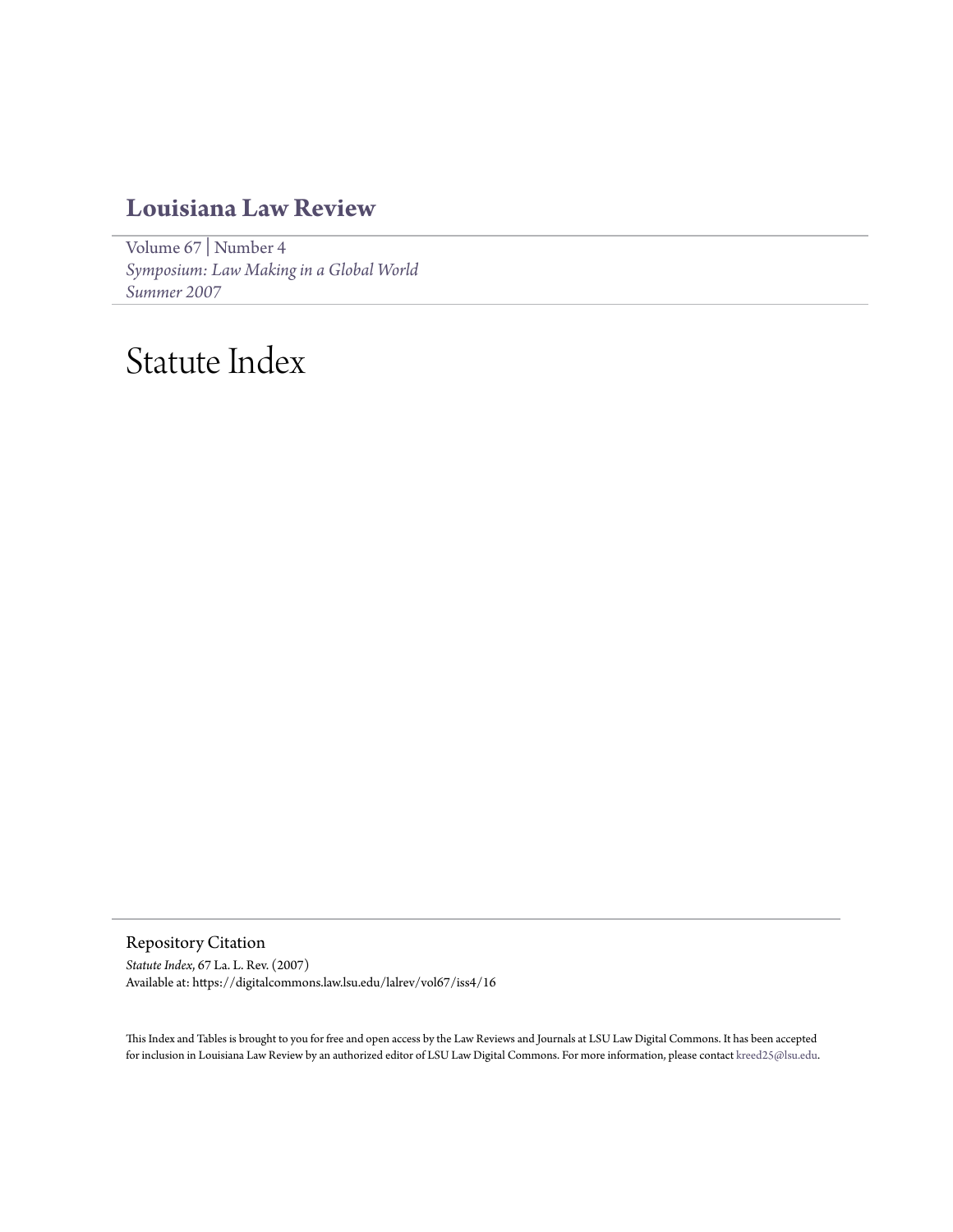## **[Louisiana Law Review](https://digitalcommons.law.lsu.edu/lalrev)**

[Volume 67](https://digitalcommons.law.lsu.edu/lalrev/vol67) | [Number 4](https://digitalcommons.law.lsu.edu/lalrev/vol67/iss4) *[Symposium: Law Making in a Global World](https://digitalcommons.law.lsu.edu/lalrev/vol67/iss4) [Summer 2007](https://digitalcommons.law.lsu.edu/lalrev/vol67/iss4)*

# Statute Index

Repository Citation

*Statute Index*, 67 La. L. Rev. (2007) Available at: https://digitalcommons.law.lsu.edu/lalrev/vol67/iss4/16

This Index and Tables is brought to you for free and open access by the Law Reviews and Journals at LSU Law Digital Commons. It has been accepted for inclusion in Louisiana Law Review by an authorized editor of LSU Law Digital Commons. For more information, please contact [kreed25@lsu.edu](mailto:kreed25@lsu.edu).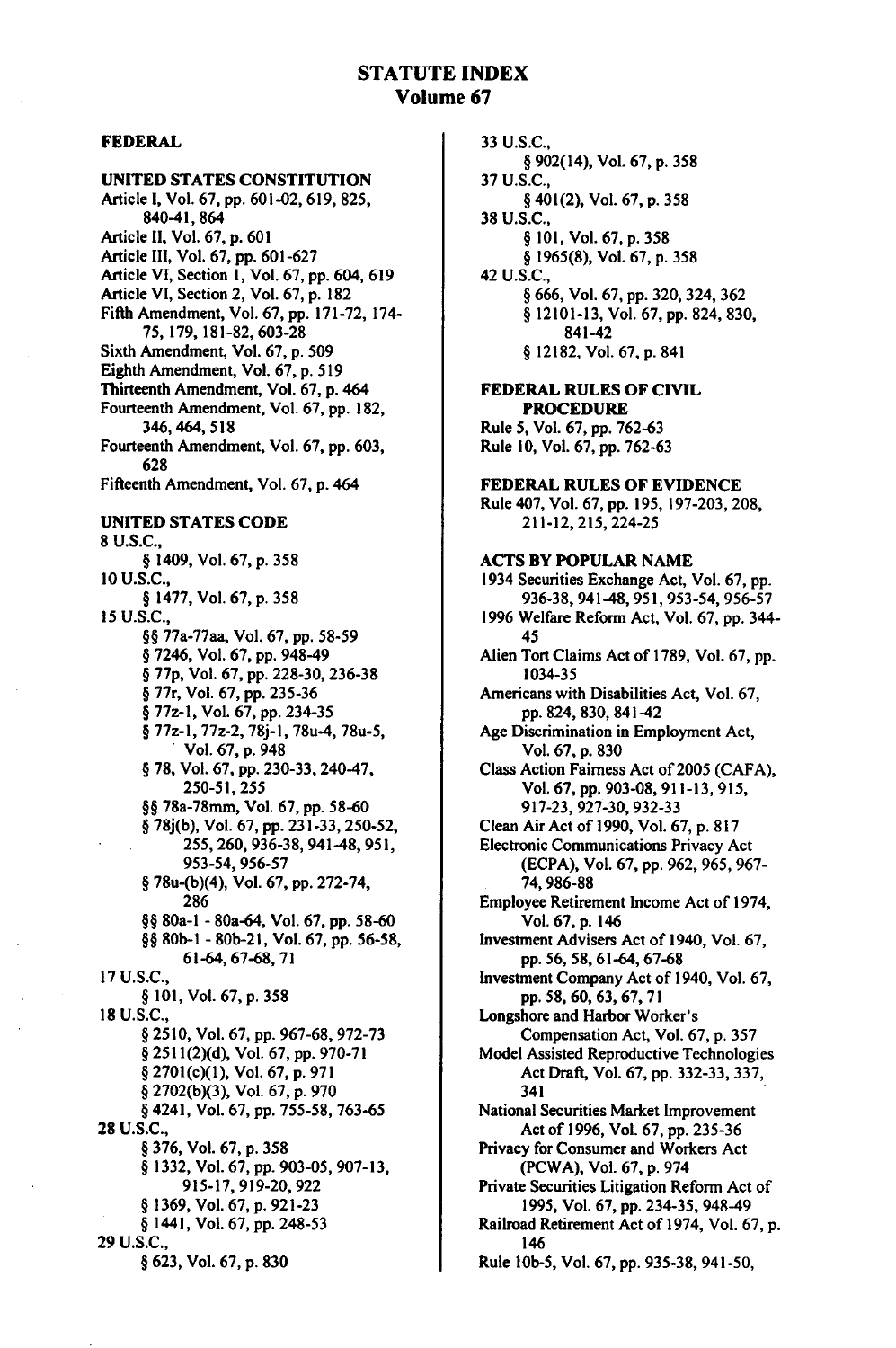#### **STATUTE INDEX Volume 67**

#### FEDERAL

#### **UNITED STATES CONSTITUTION**

Article **I,** Vol. **67, pp. 601-02, 619, 825, 840-41,** 864 Article **II,** Vol. **67, p. 601** Article III, Vol. **67, pp. 601-627** Article VI, Section **1,** Vol. **67, pp.** 604, **619** Article VI, Section 2, Vol. **67, p. 182** Fifth Amendment, Vol. **67, pp. 171-72,** 174- **75, 179, 181-82, 603-28** Sixth Amendment, Vol. **67, p. 509** Eighth Amendment, Vol. **67, p. 519** Thirteenth Amendment, Vol. **67, p.** <sup>464</sup> Fourteenth Amendment, Vol. **67, pp. 182,** 346, 464, 518 Fourteenth Amendment, Vol. **67, pp. 603, 628** Fifteenth Amendment, Vol. **67, p.** 464 UNITED **STATES CODE 8 U.S.C., §** 1409, Vol. **67, p. 358 10 U.S.C., § 1477,** Vol. **67, p. 358 15 U.S.C., §§** 77a-77aa, Vol. **67, pp. 58-59 §** 7246, Vol. **67, pp.** 948-49 **§ 77p,** Vol. **67, pp. 228-30, 236-38 §** 77r, Vol. **67, pp.** 235-36 **§** 77z-1, Vol. **67, pp.** 234-35 **§** 77z-1, 77z-2, **78j-1,** 78u-4, 78u-5, **.** Vol. **67, p.** <sup>948</sup> **§ 78,** Vol. **67, pp. 230-33,** 240-47, **250-51,255 §§** 78a-78mm, Vol. **67, pp. 58-60 § 78j(b),** Vol. **67, pp. 231-33, 250-52, 255, 260, 936-38,** 941-48, **951, 953-54, 956-57 §** 78u-(b)(4), Vol. **67, pp. 272-74, 286 §§** 80a-1 **-** 80a-64, Vol. **67, pp. 58-60 §§ 80b-I - 80b-21,** Vol. **67, pp. 56-58,** 61-64, **67-68, 71 17 U.S.C., § 101,** Vol. **67, p. 358 18 U.S.C.,** § **2510,** Vol. **67, pp. 967-68, 972-73 § 2511(2)(d),** Vol. **67, pp. 970-71 §** 2701(c)(1), Vol. **67, p. 971 § 2702(b)(3),** Vol. **67, p. 970** § 4241, Vol. **67, pp. 755-58,** 763-65 **28 U.S.C., § 376,** Vol. **67, p. 358** § **1332,** Vol. **67, pp. 903-05, 907-13, 915-17, 919-20, 922 § 1369,** Vol. **67, p. 921-23 §** 1441, Vol. **67, pp. 248-53 29 U.S.C., § 623,** Vol. **67, p. 830**

33 **U.S.C., §** 902(14), Vol. **67, p. 358 37 U.S.C., §** 401(2), Vol. **67, p. 358 38 U.S.C., § 101,** Vol. **67, p. 358 § 1965(8),** Vol. **67, p. 358** 42 **U.S.C., §** 666, Vol. **67, pp.** 320, 324, **362 § 12101-13,** Vol. **67, pp.** 824, **830,** 841-42 **§ 12182,** Vol. **67, p.** 841 FEDERAL **RULES** OF **CIVIL** PROCEDURE Rule **5,** Vol. **67, pp.** 762-63 Rule **10,** Vol. **67, pp. 762-63** FEDERAL **RULES** OF **EVIDENCE** Rule 407, Vol. **67, pp. 195, 197-203, 208,** 211-12, 215, 224-25 **ACTS BY** POPULAR **NAME** 1934 Securities Exchange Act, Vol. **67, pp. 936-38,** 941-48, 951, **953-54, 956-57 1996** Welfare Reform Act, Vol. **67, pp.** 344- 45 Alien Tort Claims Act of **1789,** Vol. **67, pp.** 1034-35 Americans with Disabilities Act, Vol. **67, pp.** 824, **830,** 841-42 Age Discrimination in Employment Act, Vol. **67, p. 830** Class Action Fairness Act of **2005 (CAFA),** Vol. **67, pp. 903-08, 911-13, 915, 917-23, 927-30, 932-33** Clean Air Act of **1990,** Vol. **67, p. 817** Electronic Communications Privacy Act (ECPA), Vol. **67, pp.** 962, 965, 967- 74,986-88 Employee Retirement Income Act of 1974, Vol. **67,** p. 146 Investment Advisers Act of 1940, Vol. 67, pp. 56, **58,** 61-64, 67-68 Investment Company Act of 1940, Vol. **67,** pp.58,60,63,67,71 Longshore and Harbor Worker's Compensation Act, Vol. 67, p. **357** Model Assisted Reproductive Technologies Act Draft, Vol. 67, pp. **332-33, 337,** 341 National Securities Market Improvement Act of 1996, Vol. **67,** pp. **235-36** Privacy for Consumer and Workers Act (PCWA), Vol. **67,** p. 974 Private Securities Litigation Reform Act of **1995,** Vol. **67,** pp. 234-35, 948-49 Railroad Retirement Act of 1974, Vol. 67, p. 146 Rule **l0b-5,** Vol. **67,** pp. **935-38,** 941-50,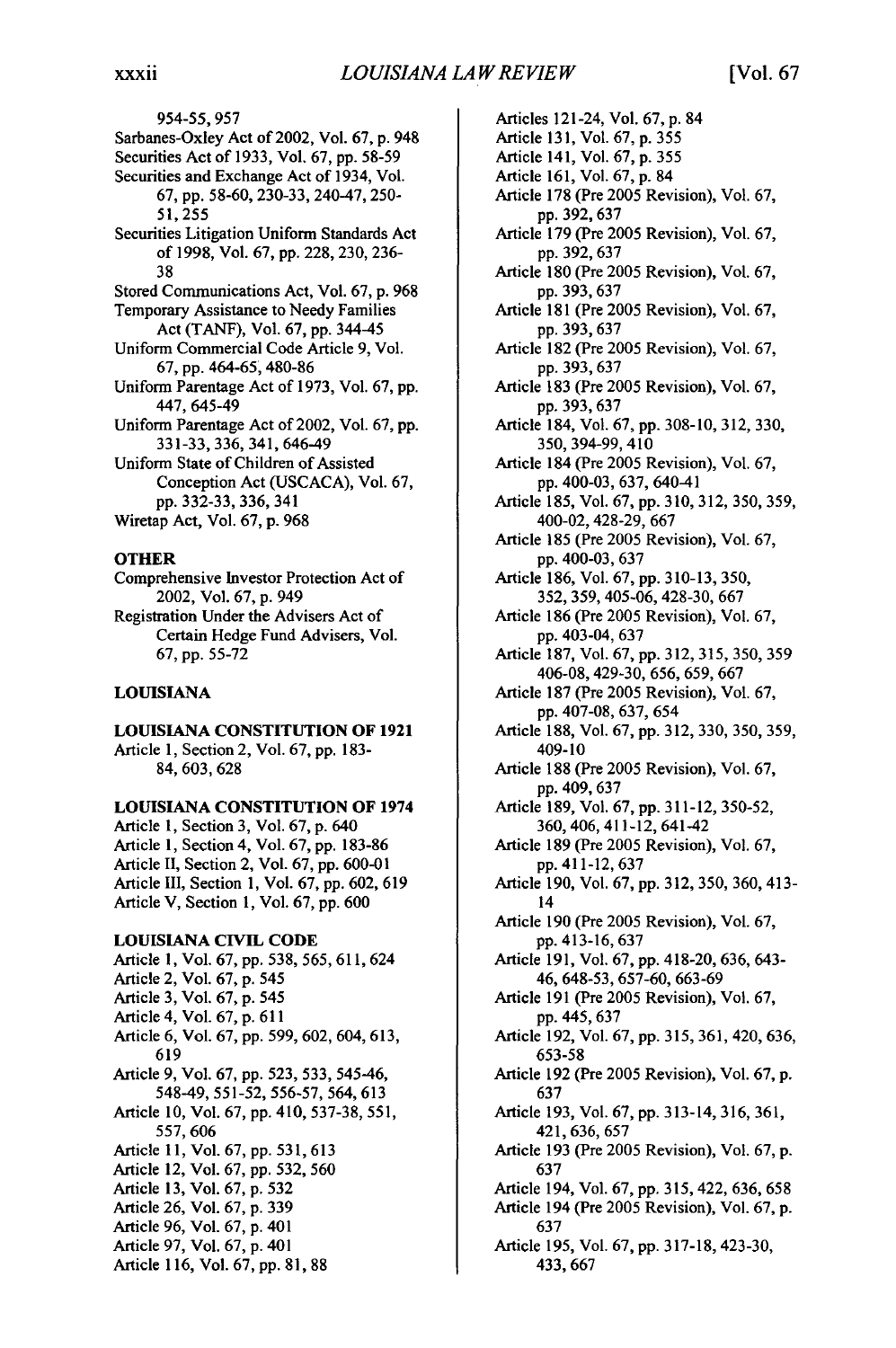954-55,957 Sarbanes-Oxley Act of 2002, Vol. 67, p. 948 Securities Act of 1933, Vol. 67, pp. 58-59 Securities and Exchange Act of 1934, Vol. 67, pp. 58-60, 230-33, 240-47, 250- 51,255 Securities Litigation Uniform Standards Act of 1998, Vol. 67, pp. 228, 230, 236- 38 Stored Communications Act, Vol. 67, p. 968 Temporary Assistance to Needy Families Act (TANF), Vol. 67, pp. 344-45 Uniform Commercial Code Article 9, Vol. 67, pp. 464-65, 480-86 Uniform Parentage Act of 1973, Vol. 67, pp. 447, 645-49 Uniform Parentage Act of 2002, Vol. 67, pp. 331-33, 336, 341, 646-49 Uniform State of Children of Assisted Conception Act (USCACA), Vol. 67, pp. 332-33, 336, 341

Wiretap Act, Vol. 67, p. 968

#### **OTHER**

- Comprehensive Investor Protection Act of 2002, Vol. 67, p. 949
- Registration Under the Advisers Act of Certain Hedge Fund Advisers, Vol. 67, pp. 55-72

#### **LOUISIANA**

LOUISIANA **CONSTITUTION** OF **1921**

Article **1,** Section 2, Vol. **67, pp. 183- 84, 603,628**

#### LOUISIANA **CONSTITUTION** OF 1974

Article 1, Section 3, Vol. **67,** p. 640 Article **1,** Section 4, Vol. 67, pp. 183-86 Article II, Section 2, Vol. 67, pp. 600-01 Article III, Section 1, Vol. 67, pp. 602, 619 Article V, Section 1, Vol. 67, pp. 600

#### **LOUISIANA CIVIL CODE**

Article **1,** Vol. **67, pp. 538,** 565, **611,624** Article 2, Vol. **67, p.** 545 Article **3,** Vol. **67, p.** 545 Article 4, Vol. 67, **p.** 611 Article 6, Vol. 67, pp. 599, 602, 604, 613, 619 Article 9, Vol. 67, pp. 523, 533, 545-46, 548-49, 551-52, 556-57, 564, 613 Article 10, Vol. 67, pp. 410, 537-38, 551, 557, 606 Article 11, Vol. 67, pp. 531, 613 Article 12, Vol. 67, pp. 532, 560 Article 13, Vol. 67, p. 532 Article 26, Vol. 67, p. 339 Article 96, Vol. 67, p. 401 Article 97, Vol. 67, p. 401 Article 116, Vol. 67, pp. 81, 88

Articles 121-24, Vol. 67, p. 84 Article 131, Vol. 67, p. 355 Article 141, Vol. 67, p. 355 Article 161, Vol. 67, p. 84 Article 178 (Pre 2005 Revision), Vol. 67, pp. 392, 637 Article 179 (Pre 2005 Revision), Vol. 67, pp. 392, 637 Article 180 (Pre 2005 Revision), Vol. 67, pp. 393, 637 Article 181 (Pre 2005 Revision), Vol. 67, pp. 393,637 Article 182 (Pre 2005 Revision), Vol. 67, pp. 393,637 Article 183 (Pre 2005 Revision), Vol. 67, pp. 393, 637 Article 184, Vol. 67, pp. 308-10, 312, 330, 350, 394-99, 410 Article 184 (Pre 2005 Revision), Vol. 67, pp. 400-03, 637, 640-41 Article 185, Vol. 67, pp. 310, 312, 350, 359, 400-02, 428-29, 667 Article 185 (Pre 2005 Revision), Vol. 67, pp. 400-03, 637 Article 186, Vol. 67, pp. 310-13, 350, 352, 359, 405-06, 428-30, 667 Article 186 (Pre 2005 Revision), Vol. 67, pp. 403-04, 637 Article 187, Vol. 67, pp. 312, 315, 350, 359 406-08, 429-30, 656, 659, 667 Article 187 (Pre 2005 Revision), Vol. 67, pp. 407-08, 637, 654 Article 188, Vol. 67, pp. 312, 330, 350, 359, 409-10 Article 188 (Pre 2005 Revision), Vol. 67, pp. 409, 637 Article 189, Vol. 67, pp. 311-12, 350-52, 360, 406, 411-12, 641-42 Article 189 (Pre 2005 Revision), Vol. 67, pp. 411-12, 637 Article 190, Vol. 67, pp. 312, 350, 360, 413- 14 Article 190 (Pre 2005 Revision), Vol. 67, pp. 413-16, 637 Article 191, Vol. 67, pp. 418-20, 636, 643- 46, 648-53, 657-60, 663-69 Article 191 (Pre 2005 Revision), Vol. 67, **pp.** 445,637 Article 192, Vol. 67, pp. 315, 361, 420, 636, 653-58 Article 192 (Pre 2005 Revision), Vol. 67, p. 637 Article 193, Vol. 67, pp. 313-14, 316, 361, 421,636, 657 Article 193 (Pre 2005 Revision), Vol. 67, p. 637 Article 194, Vol. 67, pp. 315, 422, 636, 658 Article 194 (Pre 2005 Revision), Vol. 67, p. 637 Article 195, Vol. 67, pp. 317-18, 423-30, 433,667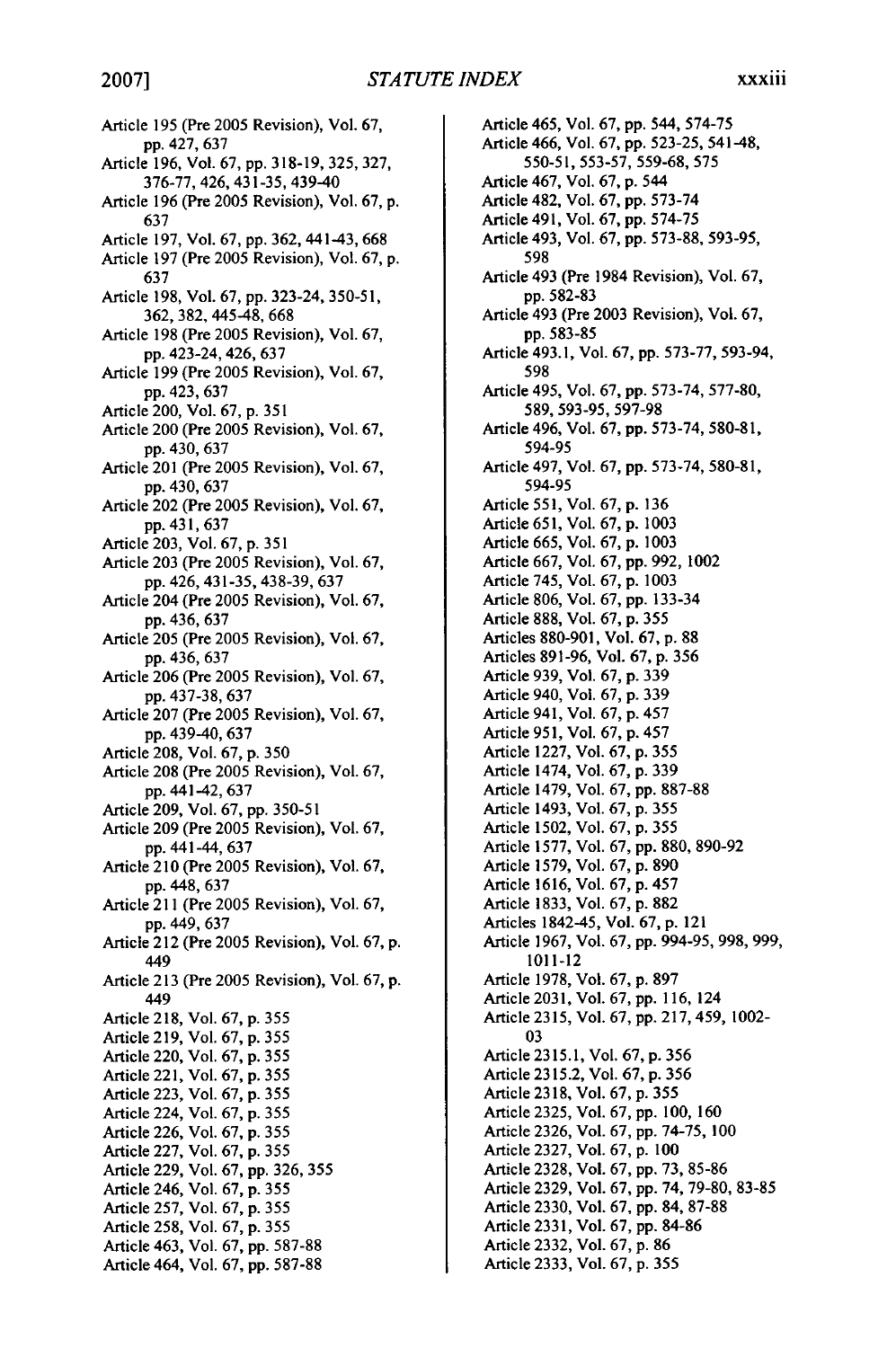Article 195 (Pre 2005 Revision), Vol. 67, **pp.** 427, 637 Article 196, Vol. 67, pp. 318-19, 325, 327, 376-77, 426, 431-35, 439-40 Article 196 (Pre 2005 Revision), Vol. 67, p. 637 Article 197, Vol. 67, pp. 362, 441-43, 668 Article 197 (Pre 2005 Revision), Vol. 67, p. 637 Article 198, Vol. 67, pp. 323-24, 350-5 1, 362, 382, 445-48, 668 Article 198 (Pre 2005 Revision), Vol. 67, pp. 423-24, 426, 637 Article 199 (Pre 2005 Revision), Vol. 67, pp. 423,637 Article 200, Vol. 67, p. 351 Article 200 (Pre 2005 Revision), Vol. 67, pp. 430, 637 Article 201 (Pre 2005 Revision), Vol. 67, pp. 430, 637 Article 202 (Pre 2005 Revision), Vol. 67, pp. 431, 637 Article 203, Vol. 67, p. 351 Article 203 (Pre 2005 Revision), Vol. 67, pp. 426, 431-35, 438-39, 637 Article 204 (Pre 2005 Revision), Vol. 67, pp. 436, 637 Article 205 (Pre 2005 Revision), Vol. 67, pp. 436, 637 Article 206 (Pre 2005 Revision), Vol. 67, pp. 437-38, 637 Article 207 (Pre 2005 Revision), Vol. 67, pp. 439-40, 637 Article 208, Vol. 67, p. 350 Article 208 (Pre 2005 Revision), Vol. 67, pp. 441-42, 637 Article 209, Vol. 67, pp. 350-51 Article 209 (Pre 2005 Revision), Vol. 67, pp.441-44,637 Article 210 (Pre 2005 Revision), Vol. 67, pp. 448, 637 Article 211 (Pre 2005 Revision), Vol. 67, pp. 449, 637 Article 212 (Pre 2005 Revision), Vol. 67, p. 449 Article 213 (Pre 2005 Revision), Vol. 67, p. 449 Article 218, Vol. 67, p. 355 Article 219, Vol. 67, p. 355 Article 220, Vol. 67, p. 355 Article 221, Vol. 67, p. 355 Article 223, Vol. 67, p. 355 Article 224, Vol. 67, p. 355 Article 226, Vol. 67, p. 355 Article 227, Vol. 67, p. 355 Article 229, Vol. 67, pp. 326, 355 Article 246, Vol. 67, p. 355 Article 257, Vol. 67, p. 355 Article 258, Vol. 67, p. 355 Article 463, Vol. 67, pp. 587-88 Article 464, Vol. 67, pp. 587-88

Article 465, Vol. **67,** pp. 544, 574-75 Article 466, Vol. 67, pp. 523-25, 541-48, 550-51, 553-57, 559-68, 575 Article 467, Vol. 67, p. 544 Article 482, Vol. 67, pp. 573-74 Article 491, Vol. 67, pp. 574-75 Article 493, Vol. 67, pp. 573-88, 593-95, 598 Article 493 (Pre 1984 Revision), Vol. 67, pp. 582-83 Article 493 (Pre 2003 Revision), Vol. 67, pp. 583-85 Article 493.1, Vol. 67, pp. 573-77, 593-94, 598 Article 495, Vol. 67, pp. 573-74, 577-80, 589, 593-95, 597-98 Article 496, Vol. 67, pp. 573-74, 580-81, 594-95 Article 497, Vol. 67, pp. 573-74, 580-81, 594-95 Article 551, Vol. **67,** p. 136 Article 651, Vol. 67, p. 1003 Article 665, Vol. 67, p. 1003 Article 667, Vol. 67, pp. 992, 1002 Article 745, Vol. 67, p. 1003 Article 806, Vol. 67, pp. 133-34 Article 888, Vol. 67, p. 355 Articles 880-901, Vol. 67, p. 88 Articles 891-96, Vol. 67, p. 356 Article 939, Vol. 67, p. 339 Article 940, Vol. 67, p. 339 Article 941, Vol. 67, p. 457 Article 951, Vol. 67, p. 457 Article 1227, Vol. 67, p. 355 Article 1474, Vol. 67, p. 339 Article 1479, Vol. 67, pp. 887-88 Article 1493, Vol. 67, p. 355 Article 1502, Vol. 67, p. 355 Article 1577, Vol. 67, pp. 880, 890-92 Article 1579, Vol. 67, p. 890 Article 1616, Vol. 67, p. 457 Article 1833, Vol. 67, p. 882 Articles 1842-45, Vol. 67, p. 121 Article 1967, Vol. 67, pp. 994-95, 998, 999, 1011-12 Article 1978, Vol. 67, p. 897 Article 2031, Vol. 67, pp. 116, 124 Article 2315, Vol. 67, **pp.** 217, 459, 1002- 03 Article 2315.1, Vol. 67, p. 356 Article 2315.2, Vol. 67, p. 356 Article 2318, Vol. 67, p. 355 Article 2325, Vol. 67, pp. 100, 160 Article 2326, Vol. 67, pp. 74-75, 100 Article 2327, Vol. 67, p. 100 Article 2328, Vol. 67, pp. 73, 85-86 Article 2329, Vol. 67, pp. 74, 79-80, 83-85 Article 2330, Vol. 67, pp. 84, 87-88 Article 2331, Vol. 67, pp. 84-86 Article 2332, Vol. 67, p. 86 Article 2333, Vol. 67, p. 355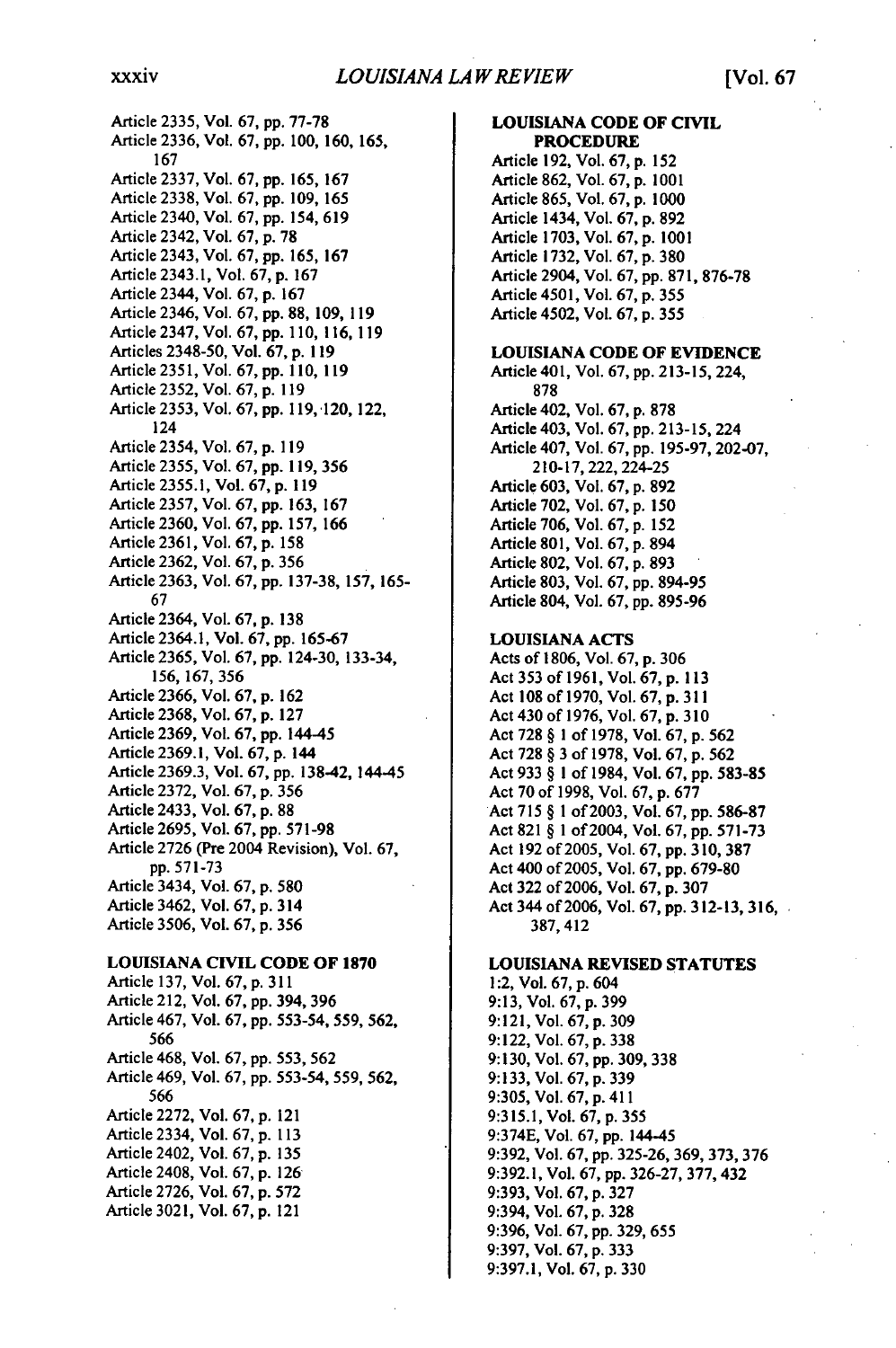Article **2335,** Vol. **67, pp. 77-78** Article 2336, Vol. **67, pp.** 100, **160, 165, 167** Article **2337,** Vol. **67, pp. 165, 167** Article **2338,** Vol. **67, pp. 109, 165** Article 2340, Vol. **67, pp.** 154, **619** Article 2342, Vol. **67, p. 78** Article 2343, Vol. **67, pp. 165, 167** Article 2343.1, Vol. **67, p. 167** Article 2344, Vol. **67, p. 167** Article 2346, Vol. **67, pp. 88, 109, 119** Article 2347, Vol. **67, pp. 110, 116, 119** Articles **2348-50,** Vol. **67, p. 119** Article **2351,** Vol. **67, pp. 110, 119** Article **2352,** Vol. **67, p. 119** Article **2353,** Vol. **67, pp. 119,120,** 122, 124 Article 2354, Vol. **67, p. 119** Article **2355,** Vol. **67, pp. 119, 356** Article **2355.1,** Vol. **67, p. 119** Article **2357,** Vol. **67, pp. 163, 167** Article **2360,** Vol. **67, pp. 157, 166** Article **2361,** Vol. **67, p. 158** Article **2362,** Vol. **67, p. 356** Article **2363,** Vol. **67, pp. 137-38, 157, 165- 67** Article 2364, Vol. **67, p. 138** Article 2364.1, Vol. **67, pp. 165-67** Article **2365,** Vol. **67, pp.** 124-30, 133-34, **156, 167, 356** Article **2366,** Vol. **67, p. 162** Article **2368,** Vol. **67, p. 127** Article **2369,** Vol. **67, pp.** 144-45 Article **2369.1,** Vol. **67, p.** 144 Article **2369.3,** Vol. **67, pp.** 13842, 144-45 Article **2372,** Vol. **67, p. 356** Article 2433, Vol. **67, p. 88** Article **2695,** Vol. **67, pp. 571-98**

Article **2726** (Pre 2004 Revision), Vol. **67, pp. 571-73** Article 3434, Vol. **67, p. 580**

Article 3462, Vol. **67, p.** 314 Article **3506,** Vol. **67, p. 356**

#### **LOUISIANA CIVIL CODE OF 1870**

Article **137,** Vol. **67, p. 311** Article 212, Vol. **67, pp.** 394, **396** Article 467, Vol. **67, pp. 553-54, 559, 562,** 566 Article 468, Vol. **67, pp. 553, 562** Article 469, Vol. **67, pp. 553-54, 559, 562, 566** Article **2272,** Vol. **67, p.** 121 Article 2334, Vol. **67, p. 113** Article 2402, Vol. **67, p. 135** Article 2408, Vol. **67, p. 126** Article **2726,** Vol. **67, p. 572** Article **3021,** Vol. **67, p.** 121

**PROCEDURE** Article **192,** Vol. **67, p.** 152 Article **862,** Vol. **67, p. 1001** Article **865,** Vol. **67, p. 1000** Article 1434, Vol. **67, p. 892** Article **1703,** Vol. **67, p. 1001** Article **1732,** Vol. **67, p. 380** Article 2904, Vol. **67, pp. 871, 876-78** Article 4501, Vol. **67, p. 355** Article 4502, Vol. **67, p. 355 LOUISIANA CODE OF EVIDENCE** Article **401,** Vol. **67, pp. 213-15,** 224, **878** Article 402, Vol. **67, p. 878** Article 403, Vol. **67, pp. 213-15,** 224 Article 407, Vol. **67, pp. 195-97, 202-07, 210-17,** 222, 224-25 Article **603,** Vol. **67, p. 892** Article **702,** Vol. **67, p. 150** Article **706,** Vol. **67, p. 152** Article **801,** Vol. **67, p.** 894 Article **802,** Vol. **67, p. 893** Article **803,** Vol. **67, pp. 894-95** Article 804, Vol. **67, pp. 895-96**

**LOUISIANA CODE OF CIVIL**

#### **LOUISIANA ACTS**

Acts of **1806,** Vol. **67, p. 306** Act **353** of **1961,** Vol. **67, p. 113** Act **108** of **1970,** Vol. **67, p. <sup>3</sup> <sup>1</sup> <sup>1</sup>** Act 430 of **1976,** Vol. **67, p. 310** Act 728 § **I** of 1978, Vol. 67, **p. 562** Act 728 § **3** of **1978,** Vol. **67,** p. **562** Act **933** § **I** of 1984, Vol. 67, pp. **583-85** Act **70** of 1998, Vol. 67, p. **677** Act **715** § **1** of **2003,** Vol. **67,** pp. **586-87** Act **821** § **1** of 2004, Vol. **67,** pp. **571-73** Act **192** of 2005, Vol. 67, pp. **<sup>3</sup> <sup>10</sup> , 3 <sup>8</sup> <sup>7</sup>** Act 400 of 2005, Vol. 67, pp. 679-80 Act **322** of 2006, Vol. 67, p. **307** Act 344 of 2006, Vol. 67, pp. **312-13, 316,** 387, **412**

#### **LOUISIANA REVISED STATUTES**

1:2, Vol. **67, p.** 604 **9:13,** Vol. **67, p. <sup>3</sup> <sup>9</sup> <sup>9</sup> 9:121,** Vol. **67, p. <sup>3</sup> <sup>0</sup> <sup>9</sup> 9:122,** Vol. **67, p. 338 9:130,** Vol. **67, pp. 309, 338 9:133,** Vol. **67, p. 339** 9:305, Vol. **67, p. <sup>4</sup> <sup>1</sup> <sup>1</sup> 9:315.1,** Vol. **67, p.** <sup>3</sup> <sup>55</sup> **9:374E,** Vol. **67, pp.** 144-45 9:392, Vol. 67, pp. 325-26, 369, **373, 376** 9:392.1, Vol. 67, **pp.** 326-27, 377, 432 9:393, Vol. 67, p. 327 9:394, Vol. 67, p. 328 9:396, Vol. 67, pp. 329, 655 9:397, Vol. 67, **p.** 333 9:397.1, Vol. 67, p. **330**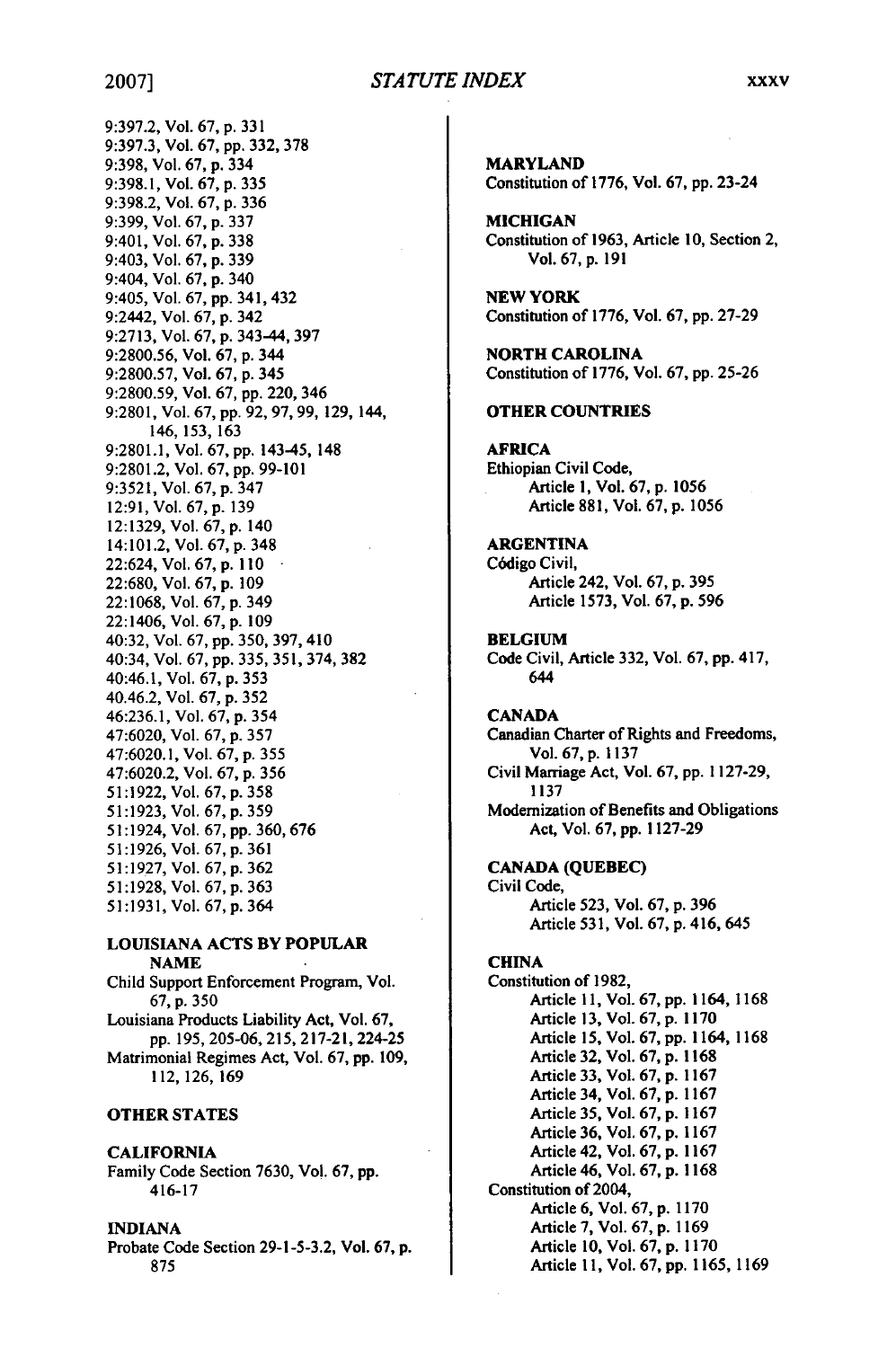#### *STA TUTE INDEX* **2007] xxxv**

9:397.2, Vol. **67, p. 331** 9:397.3, Vol. **67, pp.** 332, **378** 9:398, Vol. 67, p. 334 9:398.1, Vol. 67, p. 335 9:398.2, Vol. 67, p. 336 9:399, Vol. 67, p. 337 9:401, Vol. 67, p. 338 9:403, Vol. 67, p. 339 9:404, Vol. 67, p. 340 9:405, Vol. 67, pp. 341, 432 9:2442, Vol. 67, p. 342 9:2713, Vol. 67, p. 343-44, 397 9:2800.56, Vol. 67, p. 344 9:2800.57, Vol. 67, p. 345 9:2800.59, Vol. 67, pp. 220, 346 9:2801, Vol. 67, pp. 92, 97, **99,** 129, 144, 146, 153, 163 9:2801.1, Vol. 67, pp. 143-45, 148 9:2801.2, Vol. 67, pp. 99-101 9:3521, Vol. 67, p. 347 12:91, Vol. 67, p. 139 12:1329, Vol. 67, p. 140 14:101.2, Vol. 67, p. 348 22:624, Vol. 67, p. **I 10** 22:680, Vol. 67, p. 109 22:1068, Vol. 67, p. 349 22:1406, Vol. 67, p. 109 40:32, Vol. 67, pp. 350, 397, 410 40:34, Vol. 67, pp. 335, 351, 374, **382** 40:46.1, Vol. 67, p. 353 40.46.2, Vol. 67, p. 352 46:236.1, Vol. 67, p. 354 47:6020, Vol. 67, p. 357 47:6020.1, Vol. 67, p. 355 47:6020.2, Vol. 67, p. 356 51:1922, Vol. 67, p. **358** 51:1923, Vol. 67, p. 359 51:1924, Vol. 67, **pp.** 360, **676** 51:1926, Vol. 67, p. 361 51:1927, Vol. 67, p. 362 51:1928, Vol. 67, p. 363 51:1931, Vol. 67, p. 364

#### **LOUISIANA ACTS BY POPULAR NAME**

Child Support Enforcement Program, Vol. **67, p.** 350 Louisiana Products Liability Act, Vol. 67, pp. 195, 205-06, 215, 217-21, 224-25 Matrimonial Regimes Act, Vol. 67, **pp.** 109, **112, 126, 169**

#### **OTHER STATES**

#### **CALIFORNIA**

Family Code Section **7630, Vol. 67, pp.** 416-17

#### **INDIANA**

Probate Code Section **29-1-5-3.2,** Vol. **67, p. 875**

**MARYLAND Constitution** of **1776, Vol. 67, pp.** 23-24 **MICHIGAN Constitution of 1963, Article 10, Section 2, Vol. 67, p. 191 NEW YORK Constitution of 1776, Vol. 67, pp. 27-29 NORTH CAROLINA Constitution of 1776, Vol. 67, pp. 25-26 OTHER COUNTRIES** AFRICA Ethiopian Civil Code, Article **I,** Vol. **67, p. 1056** Article **881,** Vol. **67, p. 1056 ARGENTINA C6digo** Civil, Article 242, Vol. **67, p. 395** Article **1573,** Vol. **67, p. 596 BELGIUM** Code Civil, Article **332,** Vol. **67, pp.** 417, 644 **CANADA** Canadian Charter of Rights and Freedoms, Vol. **67, p. 1137** Civil Marriage Act, Vol. **67, pp. 1127-29, 1137** Modernization of Benefits and Obligations Act, Vol. **67, pp. 1127-29 CANADA (QUEBEC)** Civil Code, Article **523,** Vol. **67, p. 396** Article **531,** Vol. **67, p.** 416, 645 **CHINA** Constitution of **1982,** Article **11,** Vol. **67, pp.** 1164, **1168** Article **13,** Vol. **67, p. 1170** Article **15,** Vol. **67, pp. 1164, 1168** Article **32,** Vol. **67, p. 1168** Article **33,** Vol. **67, p. 1167** Article 34, Vol. **67, p. 1167** Article 35, Vol. 67, p. 1167 Article 36, Vol. 67, p. 1167 Article 42, Vol. 67, p. 1167 Article 46, Vol. 67, p. 1168 Constitution of 2004, Article **6,** Vol. **67, p. 1170** Article **7,** Vol. **67, p. 1169** Article **10,** Vol. **67, p. 1170**

Article **11,** Vol. **67, pp. 1165, 1169**